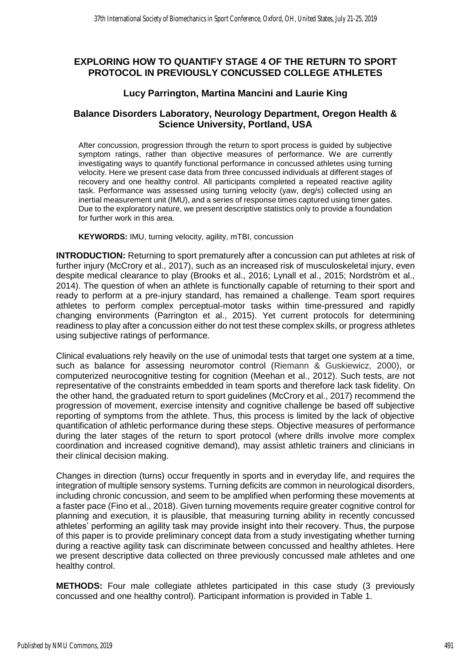# **EXPLORING HOW TO QUANTIFY STAGE 4 OF THE RETURN TO SPORT PROTOCOL IN PREVIOUSLY CONCUSSED COLLEGE ATHLETES**

## **Lucy Parrington, Martina Mancini and Laurie King**

## **Balance Disorders Laboratory, Neurology Department, Oregon Health & Science University, Portland, USA**

After concussion, progression through the return to sport process is guided by subjective symptom ratings, rather than objective measures of performance. We are currently investigating ways to quantify functional performance in concussed athletes using turning velocity. Here we present case data from three concussed individuals at different stages of recovery and one healthy control. All participants completed a repeated reactive agility task. Performance was assessed using turning velocity (yaw, deg/s) collected using an inertial measurement unit (IMU), and a series of response times captured using timer gates. Due to the exploratory nature, we present descriptive statistics only to provide a foundation for further work in this area.

**KEYWORDS:** IMU, turning velocity, agility, mTBI, concussion

**INTRODUCTION:** Returning to sport prematurely after a concussion can put athletes at risk of further injury (McCrory et al., 2017), such as an increased risk of musculoskeletal injury, even despite medical clearance to play (Brooks et al., 2016; Lynall et al., 2015; Nordström et al., 2014). The question of when an athlete is functionally capable of returning to their sport and ready to perform at a pre-injury standard, has remained a challenge. Team sport requires athletes to perform complex perceptual-motor tasks within time-pressured and rapidly changing environments (Parrington et al., 2015). Yet current protocols for determining readiness to play after a concussion either do not test these complex skills, or progress athletes using subjective ratings of performance.

Clinical evaluations rely heavily on the use of unimodal tests that target one system at a time, such as balance for assessing neuromotor control (Riemann & Guskiewicz, 2000), or computerized neurocognitive testing for cognition (Meehan et al., 2012). Such tests, are not representative of the constraints embedded in team sports and therefore lack task fidelity. On the other hand, the graduated return to sport guidelines (McCrory et al., 2017) recommend the progression of movement, exercise intensity and cognitive challenge be based off subjective reporting of symptoms from the athlete. Thus, this process is limited by the lack of objective quantification of athletic performance during these steps. Objective measures of performance during the later stages of the return to sport protocol (where drills involve more complex coordination and increased cognitive demand), may assist athletic trainers and clinicians in their clinical decision making.

Changes in direction (turns) occur frequently in sports and in everyday life, and requires the integration of multiple sensory systems. Turning deficits are common in neurological disorders, including chronic concussion, and seem to be amplified when performing these movements at a faster pace (Fino et al., 2018). Given turning movements require greater cognitive control for planning and execution, it is plausible, that measuring turning ability in recently concussed athletes' performing an agility task may provide insight into their recovery. Thus, the purpose of this paper is to provide preliminary concept data from a study investigating whether turning during a reactive agility task can discriminate between concussed and healthy athletes. Here we present descriptive data collected on three previously concussed male athletes and one healthy control.

**METHODS:** Four male collegiate athletes participated in this case study (3 previously concussed and one healthy control). Participant information is provided in Table 1.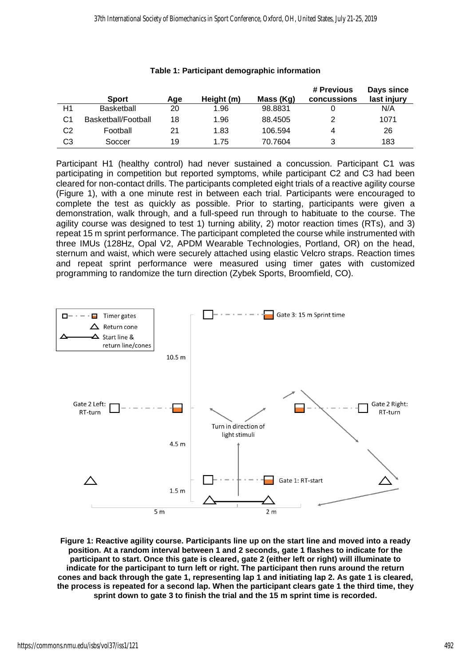|    | <b>Sport</b>        | Age | Height (m) | Mass (Kg) | # Previous<br>concussions | Days since<br>last injury |
|----|---------------------|-----|------------|-----------|---------------------------|---------------------------|
| Η1 | <b>Basketball</b>   | 20  | 1.96       | 98.8831   |                           | N/A                       |
| C1 | Basketball/Football | 18  | 1.96       | 88.4505   | 2                         | 1071                      |
| C2 | Football            | 21  | 1.83       | 106.594   | 4                         | 26                        |
| CЗ | Soccer              | 19  | 1.75       | 70.7604   | 3                         | 183                       |

#### **Table 1: Participant demographic information**

Participant H1 (healthy control) had never sustained a concussion. Participant C1 was participating in competition but reported symptoms, while participant C2 and C3 had been cleared for non-contact drills. The participants completed eight trials of a reactive agility course (Figure 1), with a one minute rest in between each trial. Participants were encouraged to complete the test as quickly as possible. Prior to starting, participants were given a demonstration, walk through, and a full-speed run through to habituate to the course. The agility course was designed to test 1) turning ability, 2) motor reaction times (RTs), and 3) repeat 15 m sprint performance. The participant completed the course while instrumented with three IMUs (128Hz, Opal V2, APDM Wearable Technologies, Portland, OR) on the head, sternum and waist, which were securely attached using elastic Velcro straps. Reaction times and repeat sprint performance were measured using timer gates with customized programming to randomize the turn direction (Zybek Sports, Broomfield, CO).



**Figure 1: Reactive agility course. Participants line up on the start line and moved into a ready position. At a random interval between 1 and 2 seconds, gate 1 flashes to indicate for the participant to start. Once this gate is cleared, gate 2 (either left or right) will illuminate to indicate for the participant to turn left or right. The participant then runs around the return cones and back through the gate 1, representing lap 1 and initiating lap 2. As gate 1 is cleared, the process is repeated for a second lap. When the participant clears gate 1 the third time, they sprint down to gate 3 to finish the trial and the 15 m sprint time is recorded.**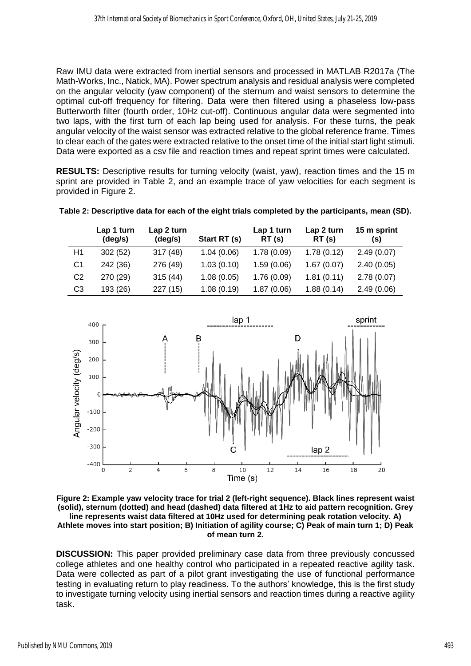Raw IMU data were extracted from inertial sensors and processed in MATLAB R2017a (The Math-Works, Inc., Natick, MA). Power spectrum analysis and residual analysis were completed on the angular velocity (yaw component) of the sternum and waist sensors to determine the optimal cut-off frequency for filtering. Data were then filtered using a phaseless low-pass Butterworth filter (fourth order, 10Hz cut-off). Continuous angular data were segmented into two laps, with the first turn of each lap being used for analysis. For these turns, the peak angular velocity of the waist sensor was extracted relative to the global reference frame. Times to clear each of the gates were extracted relative to the onset time of the initial start light stimuli. Data were exported as a csv file and reaction times and repeat sprint times were calculated.

**RESULTS:** Descriptive results for turning velocity (waist, yaw), reaction times and the 15 m sprint are provided in Table 2, and an example trace of yaw velocities for each segment is provided in Figure 2.

|                | Lap 1 turn<br>(deg/s) | Lap 2 turn<br>(deg/s) | Start RT (s) | Lap 1 turn<br>RT(s) | Lap 2 turn<br>RT(s) | 15 m sprint<br>(s) |
|----------------|-----------------------|-----------------------|--------------|---------------------|---------------------|--------------------|
| H1             | 302(52)               | 317(48)               | 1.04(0.06)   | 1.78(0.09)          | 1.78(0.12)          | 2.49(0.07)         |
| C <sub>1</sub> | 242 (36)              | 276 (49)              | 1.03(0.10)   | 1.59(0.06)          | 1.67(0.07)          | 2.40(0.05)         |
| C <sub>2</sub> | 270 (29)              | 315(44)               | 1.08(0.05)   | 1.76(0.09)          | 1.81(0.11)          | 2.78(0.07)         |
| C <sub>3</sub> | 193 (26)              | 227(15)               | 1.08(0.19)   | 1.87(0.06)          | 1.88(0.14)          | 2.49(0.06)         |

**Table 2: Descriptive data for each of the eight trials completed by the participants, mean (SD).**



**Figure 2: Example yaw velocity trace for trial 2 (left-right sequence). Black lines represent waist (solid), sternum (dotted) and head (dashed) data filtered at 1Hz to aid pattern recognition. Grey line represents waist data filtered at 10Hz used for determining peak rotation velocity. A) Athlete moves into start position; B) Initiation of agility course; C) Peak of main turn 1; D) Peak of mean turn 2.**

**DISCUSSION:** This paper provided preliminary case data from three previously concussed college athletes and one healthy control who participated in a repeated reactive agility task. Data were collected as part of a pilot grant investigating the use of functional performance testing in evaluating return to play readiness. To the authors' knowledge, this is the first study to investigate turning velocity using inertial sensors and reaction times during a reactive agility task.